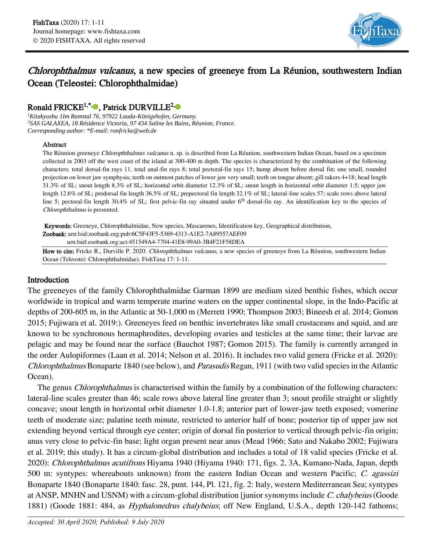

# Chlorophthalmus vulcanus, a new species of greeneye from La Réunion, southwestern Indian Ocean (Teleostei: Chlorophthalmidae)

## Ronald FRICKE<sup>1[,](https://orcid.org/0000-0003-1476-6990)\*,</sup><sup>®</sup>, Patrick DURVILLE<sup>2,</sup>

*<sup>1</sup>Kitakyushu 1Im Ramstal 76, 97922 Lauda-Königshofen, Germany. <sup>2</sup>SAS GALAXEA, 18 Résidence Victoria, 97 434 Saline les Bains, Réunion, France. Corresponding author: \*E-mail: ronfricke@web.de*

#### Abstract

The Réunion greeneye Chlorophthalmus vulcanus n. sp. is described from La Réunion, southwestern Indian Ocean, based on a specimen collected in 2003 off the west coast of the island at 300-400 m depth. The species is characterized by the combination of the following characters: total dorsal-fin rays 11, total anal-fin rays 8; total pectoral-fin rays 15; hump absent before dorsal fin; one small, rounded projection on lower jaw symphysis; teeth on outmost patches of lower jaw very small; teeth on tongue absent; gill rakers 4+18; head length 31.3% of SL; snout length 8.3% of SL; horizontal orbit diameter 12.3% of SL; snout length in horizontal orbit diameter 1.5; upper jaw length 12.6% of SL; predorsal fin length 36.5% of SL; prepectoral fin length 32.1% of SL; lateral-line scales 57; scale rows above lateral line 5; pectoral-fin length 30.4% of SL; first pelvic-fin ray situated under  $6<sup>th</sup>$  dorsal-fin ray. An identification key to the species of Chlorophthalmus is presented.

Keywords: Greeneye, Chlorophthalmidae, New species, Mascarenes, Identification key, Geographical distribution. Zoobank: urn:lsid:zoobank.org:pub:6C5F43F5-5369-4313-A1E2-7A89557AEF09 urn:lsid:zoobank.org:act:451549A4-7704-41E8-99A0-3B4F21F58DEA

How to cite: Fricke R., Durville P. 2020. Chlorophthalmus vulcanus, a new species of greeneye from La Réunion, southwestern Indian Ocean (Teleostei: Chlorophthalmidae). FishTaxa 17: 1-11.

## Introduction

The greeneyes of the family Chlorophthalmidae Garman 1899 are medium sized benthic fishes, which occur worldwide in tropical and warm temperate marine waters on the upper continental slope, in the Indo-Pacific at depths of 200-605 m, in the Atlantic at 50-1,000 m (Merrett 1990; Thompson 2003; Bineesh et al. 2014; Gomon 2015; Fujiwara et al. 2019:). Greeneyes feed on benthic invertebrates like small crustaceans and squid, and are known to be synchronous hermaphrodites, developing ovaries and testicles at the same time; their larvae are pelagic and may be found near the surface (Bauchot 1987; Gomon 2015). The family is currently arranged in the order Aulopiformes (Laan et al. 2014; Nelson et al. 2016). It includes two valid genera (Fricke et al. 2020): Chlorophthalmus Bonaparte 1840 (see below), and Parasudis Regan, 1911 (with two valid species in the Atlantic Ocean).

The genus *Chlorophthalmus* is characterised within the family by a combination of the following characters: lateral-line scales greater than 46; scale rows above lateral line greater than 3; snout profile straight or slightly concave; snout length in horizontal orbit diameter 1.0-1.8; anterior part of lower-jaw teeth exposed; vomerine teeth of moderate size; palatine teeth minute, restricted to anterior half of bone; posterior tip of upper jaw not extending beyond vertical through eye center; origin of dorsal fin posterior to vertical through pelvic-fin origin; anus very close to pelvic-fin base; light organ present near anus (Mead 1966; Sato and Nakabo 2002; Fujiwara et al. 2019; this study). It has a circum-global distribution and includes a total of 18 valid species (Fricke et al. 2020): Chlorophthalmus acutifrons Hiyama 1940 (Hiyama 1940: 171, figs. 2, 3A, Kumano-Nada, Japan, depth 500 m: syntypes: whereabouts unknown) from the eastern Indian Ocean and western Pacific; C. agassizi Bonaparte 1840 (Bonaparte 1840: fasc. 28, punt. 144, Pl. 121, fig. 2: Italy, western Mediterranean Sea; syntypes at ANSP, MNHN and USNM) with a circum-global distribution [junior synonyms include C. chalybeius (Goode 1881) (Goode 1881: 484, as *Hyphalonedrus chalybeius*; off New England, U.S.A., depth 120-142 fathoms;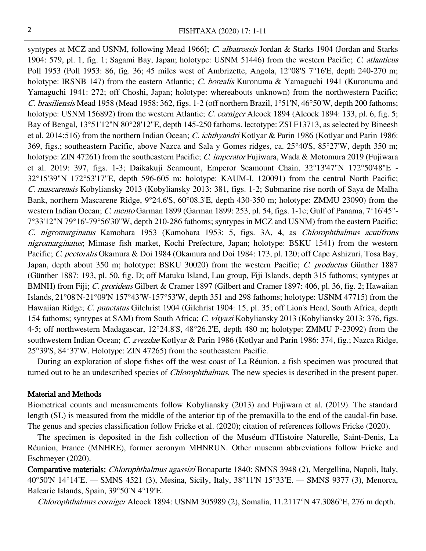syntypes at MCZ and USNM, following Mead 1966]; C. albatrossis Jordan & Starks 1904 (Jordan and Starks 1904: 579, pl. 1, fig. 1; Sagami Bay, Japan; holotype: USNM 51446) from the western Pacific; C. atlanticus Poll 1953 (Poll 1953: 86, fig. 36; 45 miles west of Ambrizette, Angola, 12°08'S 7°16'E, depth 240-270 m; holotype: IRSNB 147) from the eastern Atlantic; C. borealis Kuronuma & Yamaguchi 1941 (Kuronuma and Yamaguchi 1941: 272; off Choshi, Japan; holotype: whereabouts unknown) from the northwestern Pacific; C. brasiliensis Mead 1958 (Mead 1958: 362, figs. 1-2 (off northern Brazil, 1°51'N, 46°50'W, depth 200 fathoms; holotype: USNM 156892) from the western Atlantic; C. corniger Alcock 1894 (Alcock 1894: 133, pl. 6, fig. 5; Bay of Bengal, 13°51'12"N 80°28'12"E, depth 145-250 fathoms. lectotype: ZSI F13713, as selected by Bineesh et al. 2014:516) from the northern Indian Ocean; C. *ichthyandri* Kotlyar & Parin 1986 (Kotlyar and Parin 1986: 369, figs.; southeastern Pacific, above Nazca and Sala y Gomes ridges, ca. 25°40'S, 85°27'W, depth 350 m; holotype: ZIN 47261) from the southeastern Pacific; C. imperator Fujiwara, Wada & Motomura 2019 (Fujiwara et al. 2019: 397, figs. 1-3; Daikakuji Seamount, Emperor Seamount Chain, 32°13'47"N 172°50'48"E - 32°15'39"N 172°53'17"E, depth 596-605 m; holotype: KAUM-I. 120091) from the central North Pacific; C. mascarensis Kobyliansky 2013 (Kobyliansky 2013: 381, figs. 1-2; Submarine rise north of Saya de Malha Bank, northern Mascarene Ridge, 9°24.6'S, 60°08.3'E, depth 430-350 m; holotype: ZMMU 23090) from the western Indian Ocean; C. mento Garman 1899 (Garman 1899: 253, pl. 54, figs. 1-1c; Gulf of Panama, 7°16'45"-7°33'12"N 79°16'-79°56'30"W, depth 210-286 fathoms; syntypes in MCZ and USNM) from the eastern Pacific; C. nigromarginatus Kamohara 1953 (Kamohara 1953: 5, figs. 3A, 4, as Chlorophthalmus acutifrons nigromarginatus; Mimase fish market, Kochi Prefecture, Japan; holotype: BSKU 1541) from the western Pacific; C. pectoralis Okamura & Doi 1984 (Okamura and Doi 1984: 173, pl. 120; off Cape Ashizuri, Tosa Bay, Japan, depth about 350 m; holotype: BSKU 30020) from the western Pacific; C. productus Günther 1887 (Günther 1887: 193, pl. 50, fig. D; off Matuku Island, Lau group, Fiji Islands, depth 315 fathoms; syntypes at BMNH) from Fiji; C. proridens Gilbert & Cramer 1897 (Gilbert and Cramer 1897: 406, pl. 36, fig. 2; Hawaiian Islands, 21°08'N-21°09'N 157°43'W-157°53'W, depth 351 and 298 fathoms; holotype: USNM 47715) from the Hawaiian Ridge; C. punctatus Gilchrist 1904 (Gilchrist 1904: 15, pl. 35; off Lion's Head, South Africa, depth 154 fathoms; syntypes at SAM) from South Africa; C. vityazi Kobyliansky 2013 (Kobyliansky 2013: 376, figs. 4-5; off northwestern Madagascar, 12°24.8'S, 48°26.2'E, depth 480 m; holotype: ZMMU P-23092) from the southwestern Indian Ocean; C. zvezdae Kotlyar & Parin 1986 (Kotlyar and Parin 1986: 374, fig.; Nazca Ridge, 25°39'S, 84°37'W. Holotype: ZIN 47265) from the southeastern Pacific.

During an exploration of slope fishes off the west coast of La Réunion, a fish specimen was procured that turned out to be an undescribed species of *Chlorophthalmus*. The new species is described in the present paper.

#### Material and Methods

Biometrical counts and measurements follow Kobyliansky (2013) and Fujiwara et al. (2019). The standard length (SL) is measured from the middle of the anterior tip of the premaxilla to the end of the caudal-fin base. The genus and species classification follow Fricke et al. (2020); citation of references follows Fricke (2020).

The specimen is deposited in the fish collection of the Muséum d'Histoire Naturelle, Saint-Denis, La Réunion, France (MNHRE), former acronym MHNRUN. Other museum abbreviations follow Fricke and Eschmeyer (2020).

Comparative materials: Chlorophthalmus agassizi Bonaparte 1840: SMNS 3948 (2), Mergellina, Napoli, Italy, 40°50'N 14°14'E. — SMNS 4521 (3), Mesina, Sicily, Italy, 38°11'N 15°33'E. — SMNS 9377 (3), Menorca, Balearic Islands, Spain, 39°50'N 4°19'E.

Chlorophthalmus corniger Alcock 1894: USNM 305989 (2), Somalia, 11.2117°N 47.3086°E, 276 m depth.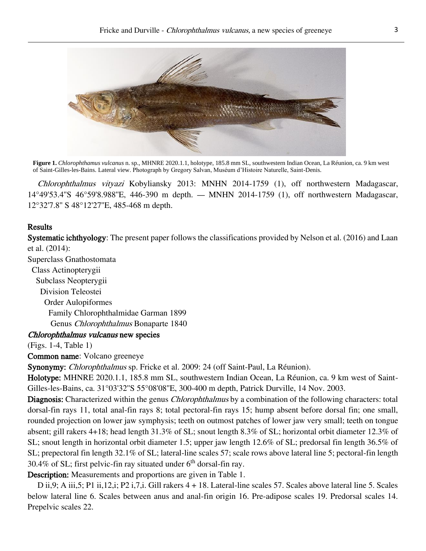

**Figure 1.** *Chlorophthamus vulcanus* n. sp., MHNRE 2020.1.1, holotype, 185.8 mm SL, southwestern Indian Ocean, La Réunion, ca. 9 km west of Saint-Gilles-les-Bains. Lateral view. Photograph by Gregory Salvan, Muséum d'Histoire Naturelle, Saint-Denis.

Chlorophthalmus vityazi Kobyliansky 2013: MNHN 2014-1759 (1), off northwestern Madagascar, 14°49'53.4''S 46°59'8.988''E, 446-390 m depth. — MNHN 2014-1759 (1), off northwestern Madagascar, 12°32'7.8'' S 48°12'27''E, 485-468 m depth.

## Results

Systematic ichthyology: The present paper follows the classifications provided by Nelson et al. (2016) and Laan et al. (2014):

Superclass Gnathostomata

 Class Actinopterygii Subclass Neopterygii Division Teleostei Order Aulopiformes Family Chlorophthalmidae Garman 1899 Genus Chlorophthalmus Bonaparte 1840

## Chlorophthalmus vulcanus new species

(Figs. 1-4, Table 1)

#### Common name: Volcano greeneye

Synonymy: Chlorophthalmus sp. Fricke et al. 2009: 24 (off Saint-Paul, La Réunion).

Holotype: MHNRE 2020.1.1, 185.8 mm SL, southwestern Indian Ocean, La Réunion, ca. 9 km west of Saint-Gilles-les-Bains, ca. 31°03'32''S 55°08'08''E, 300-400 m depth, Patrick Durville, 14 Nov. 2003.

Diagnosis: Characterized within the genus *Chlorophthalmus* by a combination of the following characters: total dorsal-fin rays 11, total anal-fin rays 8; total pectoral-fin rays 15; hump absent before dorsal fin; one small, rounded projection on lower jaw symphysis; teeth on outmost patches of lower jaw very small; teeth on tongue absent; gill rakers 4+18; head length 31.3% of SL; snout length 8.3% of SL; horizontal orbit diameter 12.3% of SL; snout length in horizontal orbit diameter 1.5; upper jaw length 12.6% of SL; predorsal fin length 36.5% of SL; prepectoral fin length 32.1% of SL; lateral-line scales 57; scale rows above lateral line 5; pectoral-fin length 30.4% of SL; first pelvic-fin ray situated under  $6<sup>th</sup>$  dorsal-fin ray.

Description: Measurements and proportions are given in Table 1.

D ii,9; A iii,5; P1 ii,12,i; P2 i,7,i. Gill rakers  $4 + 18$ . Lateral-line scales 57. Scales above lateral line 5. Scales below lateral line 6. Scales between anus and anal-fin origin 16. Pre-adipose scales 19. Predorsal scales 14. Prepelvic scales 22.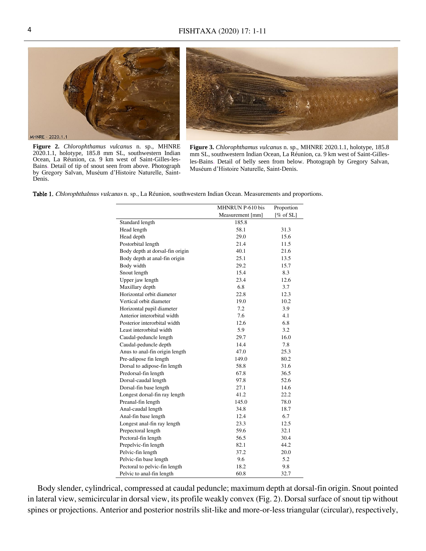

**Figure 2.** *Chlorophthamus vulcanus* n. sp., MHNRE 2020.1.1, holotype, 185.8 mm SL, southwestern Indian Ocean, La Réunion, ca. 9 km west of Saint-Gilles-les-Bains. Detail of tip of snout seen from above. Photograph by Gregory Salvan, Muséum d'Histoire Naturelle, Saint-Denis.

**Figure 3.** *Chlorophthamus vulcanus* n. sp., MHNRE 2020.1.1, holotype, 185.8 mm SL, southwestern Indian Ocean, La Réunion, ca. 9 km west of Saint-Gillesles-Bains. Detail of belly seen from below. Photograph by Gregory Salvan, Muséum d'Histoire Naturelle, Saint-Denis.

Table 1. Chlorophthalmus vulcanus n. sp., La Réunion, southwestern Indian Ocean. Measurements and proportions.

|                                 | MHNRUN P-610 bis<br>Proportion |             |
|---------------------------------|--------------------------------|-------------|
|                                 | Measurement [mm]               | $[%$ of SL] |
| Standard length                 | 185.8                          |             |
| Head length                     | 58.1                           | 31.3        |
| Head depth                      | 29.0                           | 15.6        |
| Postorbital length              | 21.4                           | 11.5        |
| Body depth at dorsal-fin origin | 40.1                           | 21.6        |
| Body depth at anal-fin origin   | 25.1                           | 13.5        |
| Body width                      | 29.2                           | 15.7        |
| Snout length                    | 15.4                           | 8.3         |
| Upper jaw length                | 23.4                           | 12.6        |
| Maxillary depth                 | 6.8                            | 3.7         |
| Horizontal orbit diameter       | 22.8                           | 12.3        |
| Vertical orbit diameter         | 19.0                           | 10.2        |
| Horizontal pupil diameter       | 7.2                            | 3.9         |
| Anterior interorbital width     | 7.6                            | 4.1         |
| Posterior interorbital width    | 12.6                           | 6.8         |
| Least interorbital width        | 5.9                            | 3.2         |
| Caudal-peduncle length          | 29.7                           | 16.0        |
| Caudal-peduncle depth           | 14.4                           | 7.8         |
| Anus to anal-fin origin length  | 47.0                           | 25.3        |
| Pre-adipose fin length          | 149.0                          | 80.2        |
| Dorsal to adipose-fin length    | 58.8                           | 31.6        |
| Predorsal-fin length            | 67.8                           | 36.5        |
| Dorsal-caudal length            | 97.8                           | 52.6        |
| Dorsal-fin base length          | 27.1                           | 14.6        |
| Longest dorsal-fin ray length   | 41.2                           | 22.2        |
| Preanal-fin length              | 145.0                          | 78.0        |
| Anal-caudal length              | 34.8                           | 18.7        |
| Anal-fin base length            | 12.4                           | 6.7         |
| Longest anal-fin ray length     | 23.3                           | 12.5        |
| Prepectoral length              | 59.6                           | 32.1        |
| Pectoral-fin length             | 56.5                           | 30.4        |
| Prepelvic-fin length            | 82.1                           | 44.2        |
| Pelvic-fin length               | 37.2                           | 20.0        |
| Pelvic-fin base length          | 9.6                            | 5.2         |
| Pectoral to pelvic-fin length   | 18.2                           | 9.8         |
| Pelvic to anal-fin length       | 60.8                           | 32.7        |

Body slender, cylindrical, compressed at caudal peduncle; maximum depth at dorsal-fin origin. Snout pointed in lateral view, semicircular in dorsal view, its profile weakly convex (Fig. 2). Dorsal surface of snout tip without spines or projections. Anterior and posterior nostrils slit-like and more-or-less triangular (circular), respectively,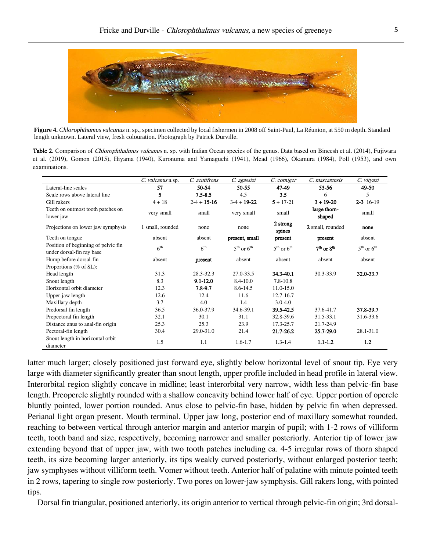

**Figure 4.** *Chlorophthamus vulcanus* n. sp., specimen collected by local fishermen in 2008 off Saint-Paul, La Réunion, at 550 m depth. Standard length unknown. Lateral view, fresh colouration. Photograph by Patrick Durville.

Table 2. Comparison of *Chlorophthalmus vulcanus* n. sp. with Indian Ocean species of the genus. Data based on Bineesh et al. (2014), Fujiwara et al. (2019), Gomon (2015), Hiyama (1940), Kuronuma and Yamaguchi (1941), Mead (1966), Okamura (1984), Poll (1953), and own examinations.

|                                                                  | C. vulcanus n.sp. | C. acutifrons     | C. agassizi                        | C. corniger        | C. mascarensis         | C. vityazi     |
|------------------------------------------------------------------|-------------------|-------------------|------------------------------------|--------------------|------------------------|----------------|
| Lateral-line scales                                              | 57                | 50-54             | $50 - 55$                          | 47-49              | 53-56                  | 49-50          |
| Scale rows above lateral line                                    | 5                 | $7.5 - 8.5$       | 4.5                                | 3.5                | 6                      | 5              |
| Gill rakers                                                      | $4 + 18$          | $2 - 4 + 15 - 16$ | $3-4 + 19-22$                      | $5 + 17 - 21$      | $3 + 19 - 20$          | $2 - 3$ 16-19  |
| Teeth on outmost tooth patches on<br>lower jaw                   | very small        | small             | very small                         | small              | large thorn-<br>shaped | small          |
| Projections on lower jaw symphysis                               | 1 small, rounded  | none              | none                               | 2 strong<br>spines | 2 small, rounded       | none           |
| Teeth on tongue                                                  | absent            | absent            | present, small                     | present            | present                | absent         |
| Position of beginning of pelvic fin<br>under dorsal-fin ray base | 6 <sup>th</sup>   | 6 <sup>th</sup>   | $5^{\text{th}}$ or $6^{\text{th}}$ | $5th$ or $6th$     | $7th$ or $8th$         | $5th$ or $6th$ |
| Hump before dorsal-fin                                           | absent            | present           | absent                             | absent             | absent                 | absent         |
| Proportions ( $%$ of SL):                                        |                   |                   |                                    |                    |                        |                |
| Head length                                                      | 31.3              | 28.3-32.3         | 27.0-33.5                          | 34.3-40.1          | 30.3-33.9              | 32.0-33.7      |
| Snout length                                                     | 8.3               | $9.1 - 12.0$      | 8.4-10.0                           | $7.8 - 10.8$       |                        |                |
| Horizontal orbit diameter                                        | 12.3              | 7.8-9.7           | 8.6-14.5                           | $11.0 - 15.0$      |                        |                |
| Upper-jaw length                                                 | 12.6              | 12.4              | 11.6                               | 12.7-16.7          |                        |                |
| Maxillary depth                                                  | 3.7               | 4.0               | 1.4                                | $3.0 - 4.0$        |                        |                |
| Predorsal fin length                                             | 36.5              | 36.0-37.9         | 34.6-39.1                          | 39.5-42.5          | 37.6-41.7              | 37.8-39.7      |
| Prepectoral fin length                                           | 32.1              | 30.1              | 31.1                               | 32.8-39.6          | 31.5-33.1              | 31.6-33.6      |
| Distance anus to anal-fin origin                                 | 25.3              | 25.3              | 23.9                               | 17.3-25.7          | 21.7-24.9              |                |
| Pectoral-fin length                                              | 30.4              | $29.0 - 31.0$     | 21.4                               | 21.7-26.2          | 25.7-29.0              | 28.1-31.0      |
| Snout length in horizontal orbit<br>diameter                     | 1.5               | 1.1               | $1.6 - 1.7$                        | $1.3 - 1.4$        | $1.1 - 1.2$            | 1.2            |

latter much larger; closely positioned just forward eye, slightly below horizontal level of snout tip. Eye very large with diameter significantly greater than snout length, upper profile included in head profile in lateral view. Interorbital region slightly concave in midline; least interorbital very narrow, width less than pelvic-fin base length. Preopercle slightly rounded with a shallow concavity behind lower half of eye. Upper portion of opercle bluntly pointed, lower portion rounded. Anus close to pelvic-fin base, hidden by pelvic fin when depressed. Perianal light organ present. Mouth terminal. Upper jaw long, posterior end of maxillary somewhat rounded, reaching to between vertical through anterior margin and anterior margin of pupil; with 1-2 rows of villiform teeth, tooth band and size, respectively, becoming narrower and smaller posteriorly. Anterior tip of lower jaw extending beyond that of upper jaw, with two tooth patches including ca. 4-5 irregular rows of thorn shaped teeth, its size becoming larger anteriorly, its tips weakly curved posteriorly, without enlarged posterior teeth; jaw symphyses without villiform teeth. Vomer without teeth. Anterior half of palatine with minute pointed teeth in 2 rows, tapering to single row posteriorly. Two pores on lower-jaw symphysis. Gill rakers long, with pointed tips.

Dorsal fin triangular, positioned anteriorly, its origin anterior to vertical through pelvic-fin origin; 3rd dorsal-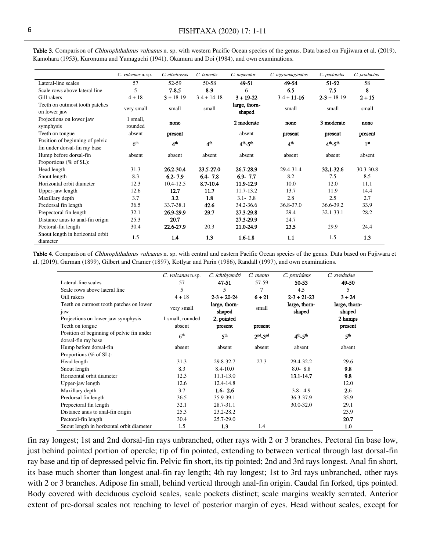|                                                | C. vulcanus n. sp.  | C. albatrossis  | C. borealis     | C. imperator                 | C. nigromarginatus | C. pectoralis                | C. productus    |
|------------------------------------------------|---------------------|-----------------|-----------------|------------------------------|--------------------|------------------------------|-----------------|
| Lateral-line scales                            | 57                  | 52-59           | 50-58           | 49-51                        | 49-54              | 51-52                        | 58              |
| Scale rows above lateral line                  | 5                   | $7 - 8.5$       | $8-9$           | 6                            | 6.5                | 7.5                          | 8               |
| Gill rakers                                    | $4 + 18$            | $3 + 18 - 19$   | $3-4+14-18$     | $3 + 19 - 22$                | $3-4 + 11-16$      | $2 - 3 + 18 - 19$            | $2 + 15$        |
| Teeth on outmost tooth patches<br>on lower jaw | very small          | small           | small           | large, thorn-<br>shaped      | small              | small                        | small           |
| Projections on lower jaw<br>symphysis          | 1 small,<br>rounded | none            |                 | 2 moderate                   | none               | 3 moderate                   | none            |
| Teeth on tongue                                | absent              | present         |                 | absent                       | present            | present                      | present         |
| Position of beginning of pelvic                | 6 <sup>th</sup>     | 4 <sup>th</sup> | 4 <sup>th</sup> | $4^{\rm th}$ 5 <sup>th</sup> | 4 <sup>th</sup>    | $4^{\rm th}$ 5 <sup>th</sup> | 1 <sup>st</sup> |
| fin under dorsal-fin ray base                  |                     |                 |                 |                              |                    |                              |                 |
| Hump before dorsal-fin                         | absent              | absent          | absent          | absent                       | absent             | absent                       | absent          |
| Proportions (% of SL):                         |                     |                 |                 |                              |                    |                              |                 |
| Head length                                    | 31.3                | 26.2-30.4       | 23.5-27.0       | 26.7-28.9                    | 29.4-31.4          | 32.1-32.6                    | 30.3-30.8       |
| Snout length                                   | 8.3                 | $6.2 - 7.9$     | $6.4 - 7.8$     | $6.9 - 7.7$                  | 8.2                | 7.5                          | 8.5             |
| Horizontal orbit diameter                      | 12.3                | $10.4 - 12.5$   | 8.7-10.4        | 11.9-12.9                    | 10.0               | 12.0                         | 11.1            |
| Upper-jaw length                               | 12.6                | 12.7            | 11.7            | 11.7-13.2                    | 13.7               | 11.9                         | 14.4            |
| Maxillary depth                                | 3.7                 | 3.2             | 1.8             | $3.1 - 3.8$                  | 2.8                | 2.5                          | 2.7             |
| Predorsal fin length                           | 36.5                | 33.7-38.1       | 42.6            | 34.2-36.6                    | 36.8-37.0          | 36.6-39.2                    | 33.9            |
| Prepectoral fin length                         | 32.1                | 26.9-29.9       | 29.7            | 27.3-29.8                    | 29.4               | 32.1-33.1                    | 28.2            |
| Distance anus to anal-fin origin               | 25.3                | 20.7            |                 | 27.3-29.9                    | 24.7               |                              |                 |
| Pectoral-fin length                            | 30.4                | 22.6-27.9       | 20.3            | 21.0-24.9                    | 23.5               | 29.9                         | 24.4            |
| Snout length in horizontal orbit<br>diameter   | 1.5                 | 1.4             | 1.3             | $1.6 - 1.8$                  | 1.1                | 1.5                          | 1.3             |

Table 3. Comparison of *Chlorophthalmus vulcanus* n. sp. with western Pacific Ocean species of the genus. Data based on Fujiwara et al. (2019), Kamohara (1953), Kuronuma and Yamaguchi (1941), Okamura and Doi (1984), and own examinations.

Table 4. Comparison of *Chlorophthalmus vulcanus* n. sp. with central and eastern Pacific Ocean species of the genus. Data based on Fujiwara et al. (2019), Garman (1899), Gilbert and Cramer (1897), Kotlyar and Parin (1986), Randall (1997), and own examinations.

|                                                                  | C. vulcanus n.sp. | C. ichthyandri          | C. mento             | C. proridens            | C. zvedzdae             |
|------------------------------------------------------------------|-------------------|-------------------------|----------------------|-------------------------|-------------------------|
| Lateral-line scales                                              | 57                | 47-51                   | 57-59                | 50-53                   | 49-50                   |
| Scale rows above lateral line                                    | 5                 | 5                       | 7                    | 4.5                     | 5.                      |
| Gill rakers                                                      | $4 + 18$          | $2 - 3 + 20 - 24$       | $6 + 21$             | $2 - 3 + 21 - 23$       | $3 + 24$                |
| Teeth on outmost tooth patches on lower<br>jaw                   | very small        | large, thorn-<br>shaped | small                | large, thorn-<br>shaped | large, thorn-<br>shaped |
| Projections on lower jaw symphysis                               | 1 small, rounded  | 2, pointed              |                      |                         | 2 humps                 |
| Teeth on tongue                                                  | absent            | present                 | present              |                         | present                 |
| Position of beginning of pelvic fin under<br>dorsal-fin ray base | 6 <sup>th</sup>   | ςth                     | $2nd$ <sub>2nd</sub> | $4th - 5th$             | 5 <sup>th</sup>         |
| Hump before dorsal-fin                                           | absent            | absent                  | absent               | absent                  | absent                  |
| Proportions (% of SL):                                           |                   |                         |                      |                         |                         |
| Head length                                                      | 31.3              | 29.8-32.7               | 27.3                 | 29.4-32.2               | 29.6                    |
| Snout length                                                     | 8.3               | $8.4 - 10.0$            |                      | $8.0 - 8.8$             | 9.8                     |
| Horizontal orbit diameter                                        | 12.3              | $11.1 - 13.0$           |                      | 13.1-14.7               | 9.8                     |
| Upper-jaw length                                                 | 12.6              | 12.4-14.8               |                      |                         | 12.0                    |
| Maxillary depth                                                  | 3.7               | $1.6 - 2.6$             |                      | $3.8 - 4.9$             | 2.6                     |
| Predorsal fin length                                             | 36.5              | 35.9-39.1               |                      | 36.3-37.9               | 35.9                    |
| Prepectoral fin length                                           | 32.1              | 28.7-31.1               |                      | 30.0-32.0               | 29.1                    |
| Distance anus to anal-fin origin                                 | 25.3              | 23.2-28.2               |                      |                         | 23.9                    |
| Pectoral-fin length                                              | 30.4              | 25.7-29.0               |                      |                         | 20.7                    |
| Snout length in horizontal orbit diameter                        | 1.5               | 1.3                     | 1.4                  |                         | 1.0                     |

fin ray longest; 1st and 2nd dorsal-fin rays unbranched, other rays with 2 or 3 branches. Pectoral fin base low, just behind pointed portion of opercle; tip of fin pointed, extending to between vertical through last dorsal-fin ray base and tip of depressed pelvic fin. Pelvic fin short, its tip pointed; 2nd and 3rd rays longest. Anal fin short, its base much shorter than longest anal-fin ray length; 4th ray longest; 1st to 3rd rays unbranched, other rays with 2 or 3 branches. Adipose fin small, behind vertical through anal-fin origin. Caudal fin forked, tips pointed. Body covered with deciduous cycloid scales, scale pockets distinct; scale margins weakly serrated. Anterior extent of pre-dorsal scales not reaching to level of posterior margin of eyes. Head without scales, except for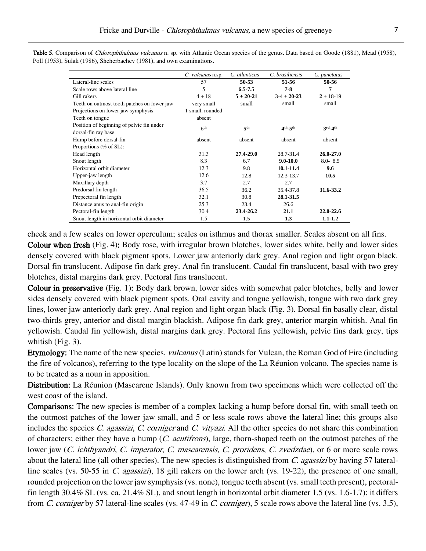|                                             | C. vulcanus n.sp. | C. atlanticus   | C. brasiliensis | C. punctatus  |
|---------------------------------------------|-------------------|-----------------|-----------------|---------------|
| Lateral-line scales                         | 57                | 50-53           | 51-56           | 50-56         |
| Scale rows above lateral line               | 5                 | $6.5 - 7.5$     | $7-8$           | 7             |
| Gill rakers                                 | $4 + 18$          | $5 + 20 - 21$   | $3-4 + 20-23$   | $2 + 18 - 19$ |
| Teeth on outmost tooth patches on lower jaw | very small        | small           | small           | small         |
| Projections on lower jaw symphysis          | 1 small, rounded  |                 |                 |               |
| Teeth on tongue                             | absent            |                 |                 |               |
| Position of beginning of pelvic fin under   | 6 <sup>th</sup>   | 5 <sup>th</sup> | $4th - 5th$     | $3rd - 4th$   |
| dorsal-fin ray base                         |                   |                 |                 |               |
| Hump before dorsal-fin                      | absent            | absent          | absent          | absent        |
| Proportions ( $%$ of SL):                   |                   |                 |                 |               |
| Head length                                 | 31.3              | 27.4-29.0       | 28.7-31.4       | $26.0 - 27.0$ |
| Snout length                                | 8.3               | 6.7             | $9.0 - 10.0$    | $8.0 - 8.5$   |
| Horizontal orbit diameter                   | 12.3              | 9.8             | 10.1-11.4       | 9.6           |
| Upper-jaw length                            | 12.6              | 12.8            | 12.3-13.7       | 10.5          |
| Maxillary depth                             | 3.7               | 2.7             | 2.7             |               |
| Predorsal fin length                        | 36.5              | 36.2            | 35.4-37.8       | 31.6-33.2     |
| Prepectoral fin length                      | 32.1              | 30.8            | 28.1-31.5       |               |
| Distance anus to anal-fin origin            | 25.3              | 23.4            | 26.6            |               |
| Pectoral-fin length                         | 30.4              | 23.4-26.2       | 21.1            | $22.0 - 22.6$ |
| Snout length in horizontal orbit diameter   | 1.5               | 1.5             | 1.3             | $1.1 - 1.2$   |

Table 5. Comparison of Chlorophthalmus vulcanus n. sp. with Atlantic Ocean species of the genus. Data based on Goode (1881), Mead (1958), Poll (1953), Sulak (1986), Shcherbachev (1981), and own examinations.

cheek and a few scales on lower operculum; scales on isthmus and thorax smaller. Scales absent on all fins.

Colour when fresh (Fig. 4): Body rose, with irregular brown blotches, lower sides white, belly and lower sides densely covered with black pigment spots. Lower jaw anteriorly dark grey. Anal region and light organ black. Dorsal fin translucent. Adipose fin dark grey. Anal fin translucent. Caudal fin translucent, basal with two grey blotches, distal margins dark grey. Pectoral fins translucent.

Colour in preservative (Fig. 1): Body dark brown, lower sides with somewhat paler blotches, belly and lower sides densely covered with black pigment spots. Oral cavity and tongue yellowish, tongue with two dark grey lines, lower jaw anteriorly dark grey. Anal region and light organ black (Fig. 3). Dorsal fin basally clear, distal two-thirds grey, anterior and distal margin blackish. Adipose fin dark grey, anterior margin whitish. Anal fin yellowish. Caudal fin yellowish, distal margins dark grey. Pectoral fins yellowish, pelvic fins dark grey, tips whitish (Fig. 3).

Etymology: The name of the new species, vulcanus (Latin) stands for Vulcan, the Roman God of Fire (including the fire of volcanos), referring to the type locality on the slope of the La Réunion volcano. The species name is to be treated as a noun in apposition.

Distribution: La Réunion (Mascarene Islands). Only known from two specimens which were collected off the west coast of the island.

Comparisons: The new species is member of a complex lacking a hump before dorsal fin, with small teeth on the outmost patches of the lower jaw small, and 5 or less scale rows above the lateral line; this groups also includes the species C. agassizi, C. corniger and C. vityazi. All the other species do not share this combination of characters; either they have a hump (C. acutifrons), large, thorn-shaped teeth on the outmost patches of the lower jaw (C. ichthyandri, C. imperator, C. mascarensis, C. proridens, C. zvedzdae), or 6 or more scale rows about the lateral line (all other species). The new species is distinguished from C. agassizi by having 57 lateralline scales (vs. 50-55 in C. agassizi), 18 gill rakers on the lower arch (vs. 19-22), the presence of one small, rounded projection on the lower jaw symphysis (vs. none), tongue teeth absent (vs. small teeth present), pectoralfin length 30.4% SL (vs. ca. 21.4% SL), and snout length in horizontal orbit diameter 1.5 (vs. 1.6-1.7); it differs from C. corniger by 57 lateral-line scales (vs. 47-49 in C. corniger), 5 scale rows above the lateral line (vs. 3.5),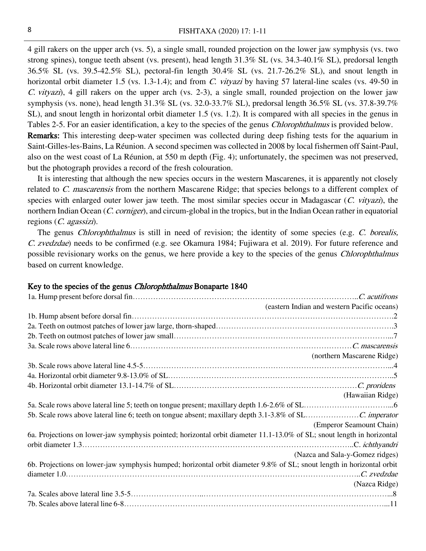4 gill rakers on the upper arch (vs. 5), a single small, rounded projection on the lower jaw symphysis (vs. two strong spines), tongue teeth absent (vs. present), head length 31.3% SL (vs. 34.3-40.1% SL), predorsal length 36.5% SL (vs. 39.5-42.5% SL), pectoral-fin length 30.4% SL (vs. 21.7-26.2% SL), and snout length in horizontal orbit diameter 1.5 (vs. 1.3-1.4); and from C. vityazi by having 57 lateral-line scales (vs. 49-50 in C. vityazi), 4 gill rakers on the upper arch (vs. 2-3), a single small, rounded projection on the lower jaw symphysis (vs. none), head length 31.3% SL (vs. 32.0-33.7% SL), predorsal length 36.5% SL (vs. 37.8-39.7% SL), and snout length in horizontal orbit diameter 1.5 (vs. 1.2). It is compared with all species in the genus in Tables 2-5. For an easier identification, a key to the species of the genus Chlorophthalmus is provided below. Remarks: This interesting deep-water specimen was collected during deep fishing tests for the aquarium in Saint-Gilles-les-Bains, La Réunion. A second specimen was collected in 2008 by local fishermen off Saint-Paul, also on the west coast of La Réunion, at 550 m depth (Fig. 4); unfortunately, the specimen was not preserved, but the photograph provides a record of the fresh colouration.

It is interesting that although the new species occurs in the western Mascarenes, it is apparently not closely related to C. mascarensis from the northern Mascarene Ridge; that species belongs to a different complex of species with enlarged outer lower jaw teeth. The most similar species occur in Madagascar (C. vityazi), the northern Indian Ocean (C. corniger), and circum-global in the tropics, but in the Indian Ocean rather in equatorial regions (C. agassizi).

The genus *Chlorophthalmus* is still in need of revision; the identity of some species (e.g. C. borealis, C. zvedzdae) needs to be confirmed (e.g. see Okamura 1984; Fujiwara et al. 2019). For future reference and possible revisionary works on the genus, we here provide a key to the species of the genus Chlorophthalmus based on current knowledge.

#### Key to the species of the genus *Chlorophthalmus* Bonaparte 1840

|                                                                                                                        | (eastern Indian and western Pacific oceans) |
|------------------------------------------------------------------------------------------------------------------------|---------------------------------------------|
|                                                                                                                        |                                             |
|                                                                                                                        |                                             |
|                                                                                                                        |                                             |
|                                                                                                                        |                                             |
|                                                                                                                        | (northern Mascarene Ridge)                  |
|                                                                                                                        |                                             |
|                                                                                                                        |                                             |
|                                                                                                                        |                                             |
|                                                                                                                        | (Hawaiian Ridge)                            |
|                                                                                                                        |                                             |
|                                                                                                                        |                                             |
|                                                                                                                        | (Emperor Seamount Chain)                    |
| 6a. Projections on lower-jaw symphysis pointed; horizontal orbit diameter 11.1-13.0% of SL; snout length in horizontal |                                             |
|                                                                                                                        |                                             |
|                                                                                                                        | (Nazca and Sala-y-Gomez ridges)             |
| 6b. Projections on lower-jaw symphysis humped; horizontal orbit diameter 9.8% of SL; snout length in horizontal orbit  |                                             |
|                                                                                                                        |                                             |
|                                                                                                                        | (Nazca Ridge)                               |
|                                                                                                                        |                                             |
|                                                                                                                        |                                             |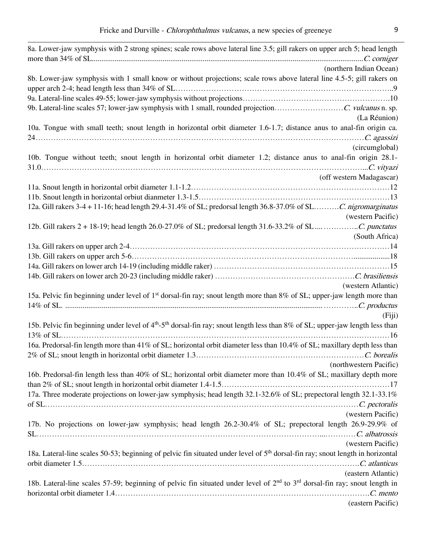| 8a. Lower-jaw symphysis with 2 strong spines; scale rows above lateral line 3.5; gill rakers on upper arch 5; head length                             |
|-------------------------------------------------------------------------------------------------------------------------------------------------------|
| (northern Indian Ocean)                                                                                                                               |
| 8b. Lower-jaw symphysis with 1 small know or without projections; scale rows above lateral line 4.5-5; gill rakers on                                 |
|                                                                                                                                                       |
|                                                                                                                                                       |
| (La Réunion)                                                                                                                                          |
| 10a. Tongue with small teeth; snout length in horizontal orbit diameter 1.6-1.7; distance anus to anal-fin origin ca.                                 |
|                                                                                                                                                       |
| (circumglobal)                                                                                                                                        |
| 10b. Tongue without teeth; snout length in horizontal orbit diameter 1.2; distance anus to anal-fin origin 28.1-                                      |
| (off western Madagascar)                                                                                                                              |
|                                                                                                                                                       |
|                                                                                                                                                       |
| 12a. Gill rakers 3-4 + 11-16; head length 29.4-31.4% of SL; predorsal length 36.8-37.0% of SLC. nigromarginatus                                       |
| (western Pacific)                                                                                                                                     |
|                                                                                                                                                       |
| (South Africa)                                                                                                                                        |
|                                                                                                                                                       |
|                                                                                                                                                       |
|                                                                                                                                                       |
|                                                                                                                                                       |
| (western Atlantic)                                                                                                                                    |
| 15a. Pelvic fin beginning under level of 1 <sup>st</sup> dorsal-fin ray; snout length more than 8% of SL; upper-jaw length more than                  |
|                                                                                                                                                       |
| (Fiji)                                                                                                                                                |
| 15b. Pelvic fin beginning under level of 4 <sup>th</sup> -5 <sup>th</sup> dorsal-fin ray; snout length less than 8% of SL; upper-jaw length less than |
| 16a. Predorsal-fin length more than 41% of SL; horizontal orbit diameter less than 10.4% of SL; maxillary depth less than                             |
|                                                                                                                                                       |
| (northwestern Pacific)                                                                                                                                |
| 16b. Predorsal-fin length less than 40% of SL; horizontal orbit diameter more than 10.4% of SL; maxillary depth more                                  |
|                                                                                                                                                       |
| 17a. Three moderate projections on lower-jaw symphysis; head length 32.1-32.6% of SL; prepectoral length 32.1-33.1%                                   |
|                                                                                                                                                       |
| (western Pacific)                                                                                                                                     |
| 17b. No projections on lower-jaw symphysis; head length 26.2-30.4% of SL; prepectoral length 26.9-29.9% of                                            |
|                                                                                                                                                       |
| (western Pacific)                                                                                                                                     |
| 18a. Lateral-line scales 50-53; beginning of pelvic fin situated under level of 5 <sup>th</sup> dorsal-fin ray; snout length in horizontal            |
|                                                                                                                                                       |
| (eastern Atlantic)                                                                                                                                    |
| 18b. Lateral-line scales 57-59; beginning of pelvic fin situated under level of 2 <sup>nd</sup> to 3 <sup>rd</sup> dorsal-fin ray; snout length in    |
|                                                                                                                                                       |
| (eastern Pacific)                                                                                                                                     |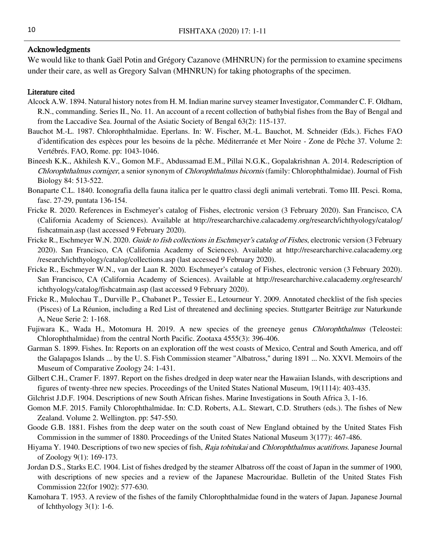## Acknowledgments

We would like to thank Gaël Potin and Grégory Cazanove (MHNRUN) for the permission to examine specimens under their care, as well as Gregory Salvan (MHNRUN) for taking photographs of the specimen.

### Literature cited

- Alcock A.W. 1894. Natural history notes from H. M. Indian marine survey steamer Investigator, Commander C. F. Oldham, R.N., commanding. Series II., No. 11. An account of a recent collection of bathybial fishes from the Bay of Bengal and from the Laccadive Sea. Journal of the Asiatic Society of Bengal 63(2): 115-137.
- Bauchot M.-L. 1987. Chlorophthalmidae. Eperlans. In: W. Fischer, M.-L. Bauchot, M. Schneider (Eds.). Fiches FAO d'identification des espèces pour les besoins de la pêche. Méditerranée et Mer Noire - Zone de Pêche 37. Volume 2: Vertébrés. FAO, Rome. pp: 1043-1046.
- Bineesh K.K., Akhilesh K.V., Gomon M.F., Abdussamad E.M., Pillai N.G.K., Gopalakrishnan A. 2014. Redescription of Chlorophthalmus corniger, a senior synonym of Chlorophthalmus bicornis (family: Chlorophthalmidae). Journal of Fish Biology 84: 513-522.
- Bonaparte C.L. 1840. Iconografia della fauna italica per le quattro classi degli animali vertebrati. Tomo III. Pesci. Roma, fasc. 27-29, puntata 136-154.
- Fricke R. 2020. References in Eschmeyer's catalog of Fishes, electronic version (3 February 2020). San Francisco, CA (California Academy of Sciences). Available at http://researcharchive.calacademy.org/research/ichthyology/catalog/ fishcatmain.asp (last accessed 9 February 2020).
- Fricke R., Eschmeyer W.N. 2020. Guide to fish collections in Eschmeyer's catalog of Fishes, electronic version (3 February 2020). San Francisco, CA (California Academy of Sciences). Available at http://researcharchive.calacademy.org /research/ichthyology/catalog/collections.asp (last accessed 9 February 2020).
- Fricke R., Eschmeyer W.N., van der Laan R. 2020. Eschmeyer's catalog of Fishes, electronic version (3 February 2020). San Francisco, CA (California Academy of Sciences). Available at http://researcharchive.calacademy.org/research/ ichthyology/catalog/fishcatmain.asp (last accessed 9 February 2020).
- Fricke R., Mulochau T., Durville P., Chabanet P., Tessier E., Letourneur Y. 2009. Annotated checklist of the fish species (Pisces) of La Réunion, including a Red List of threatened and declining species. Stuttgarter Beiträge zur Naturkunde A, Neue Serie 2: 1-168.
- Fujiwara K., Wada H., Motomura H. 2019. A new species of the greeneye genus Chlorophthalmus (Teleostei: Chlorophthalmidae) from the central North Pacific. Zootaxa 4555(3): 396-406.
- Garman S. 1899. Fishes. In: Reports on an exploration off the west coasts of Mexico, Central and South America, and off the Galapagos Islands ... by the U. S. Fish Commission steamer "Albatross," during 1891 ... No. XXVI. Memoirs of the Museum of Comparative Zoology 24: 1-431.
- Gilbert C.H., Cramer F. 1897. Report on the fishes dredged in deep water near the Hawaiian Islands, with descriptions and figures of twenty-three new species. Proceedings of the United States National Museum, 19(1114): 403-435.
- Gilchrist J.D.F. 1904. Descriptions of new South African fishes. Marine Investigations in South Africa 3, 1-16.
- Gomon M.F. 2015. Family Chlorophthalmidae. In: C.D. Roberts, A.L. Stewart, C.D. Struthers (eds.). The fishes of New Zealand. Volume 2. Wellington. pp: 547-550.
- Goode G.B. 1881. Fishes from the deep water on the south coast of New England obtained by the United States Fish Commission in the summer of 1880. Proceedings of the United States National Museum 3(177): 467-486.
- Hiyama Y. 1940. Descriptions of two new species of fish, Raja tobitukai and Chlorophthalmus acutifrons. Japanese Journal of Zoology 9(1): 169-173.
- Jordan D.S., Starks E.C. 1904. List of fishes dredged by the steamer Albatross off the coast of Japan in the summer of 1900, with descriptions of new species and a review of the Japanese Macrouridae. Bulletin of the United States Fish Commission 22(for 1902): 577-630.
- Kamohara T. 1953. A review of the fishes of the family Chlorophthalmidae found in the waters of Japan. Japanese Journal of Ichthyology  $3(1)$ : 1-6.